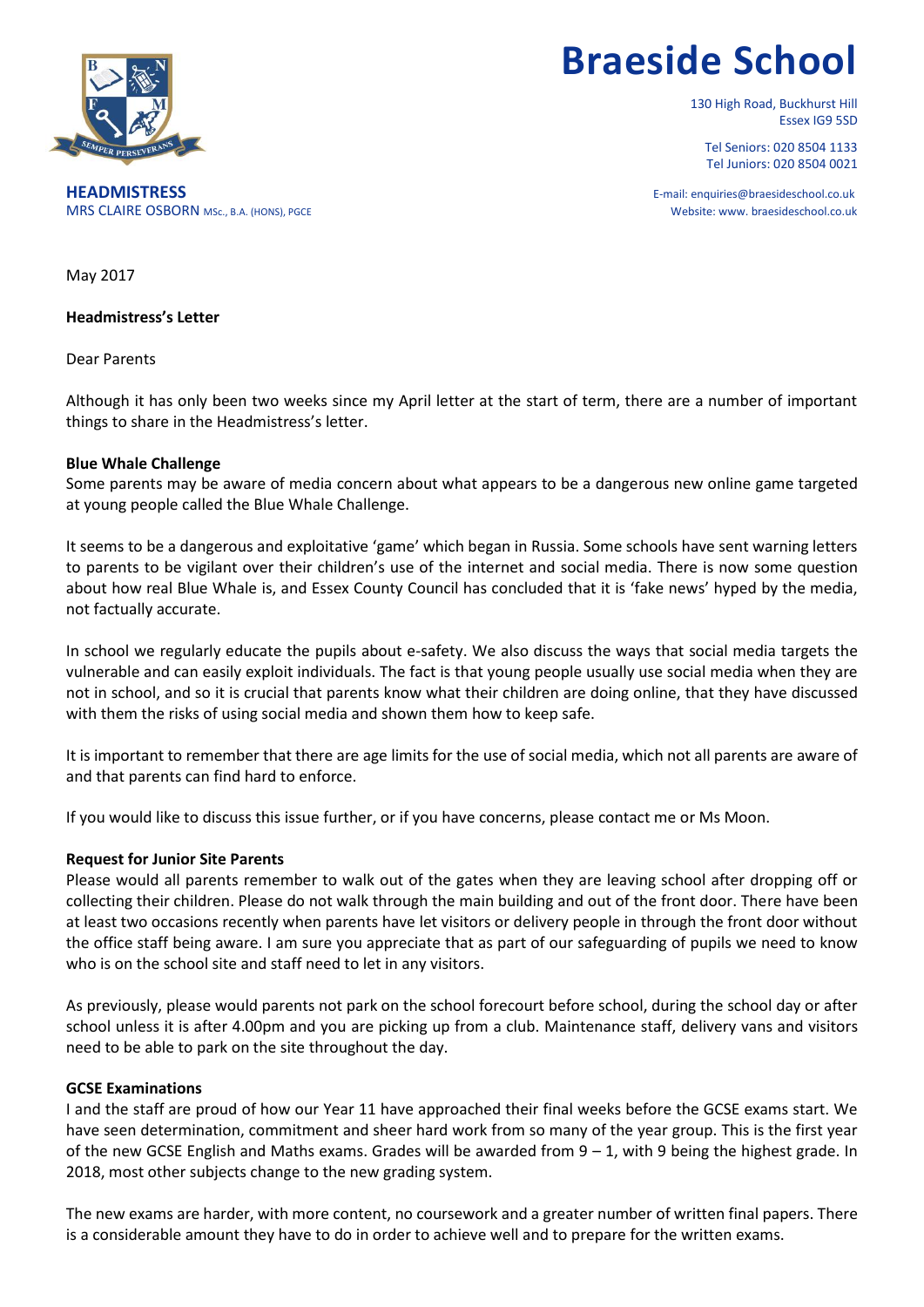

# **Braeside School**

130 High Road, Buckhurst Hill Essex IG9 5SD

Tel Seniors: 020 8504 1133 Tel Juniors: 020 8504 0021

**HEADMISTRESS** E-mail: enquiries@braesideschool.co.uk MRS CLAIRE OSBORN MSc., B.A. (HONS), PGCE Website: www. braesideschool.co.uk

May 2017

**Headmistress's Letter**

Dear Parents

Although it has only been two weeks since my April letter at the start of term, there are a number of important things to share in the Headmistress's letter.

## **Blue Whale Challenge**

Some parents may be aware of media concern about what appears to be a dangerous new online game targeted at young people called the Blue Whale Challenge.

It seems to be a dangerous and exploitative 'game' which began in Russia. Some schools have sent warning letters to parents to be vigilant over their children's use of the internet and social media. There is now some question about how real Blue Whale is, and Essex County Council has concluded that it is 'fake news' hyped by the media, not factually accurate.

In school we regularly educate the pupils about e-safety. We also discuss the ways that social media targets the vulnerable and can easily exploit individuals. The fact is that young people usually use social media when they are not in school, and so it is crucial that parents know what their children are doing online, that they have discussed with them the risks of using social media and shown them how to keep safe.

It is important to remember that there are age limits for the use of social media, which not all parents are aware of and that parents can find hard to enforce.

If you would like to discuss this issue further, or if you have concerns, please contact me or Ms Moon.

# **Request for Junior Site Parents**

Please would all parents remember to walk out of the gates when they are leaving school after dropping off or collecting their children. Please do not walk through the main building and out of the front door. There have been at least two occasions recently when parents have let visitors or delivery people in through the front door without the office staff being aware. I am sure you appreciate that as part of our safeguarding of pupils we need to know who is on the school site and staff need to let in any visitors.

As previously, please would parents not park on the school forecourt before school, during the school day or after school unless it is after 4.00pm and you are picking up from a club. Maintenance staff, delivery vans and visitors need to be able to park on the site throughout the day.

### **GCSE Examinations**

I and the staff are proud of how our Year 11 have approached their final weeks before the GCSE exams start. We have seen determination, commitment and sheer hard work from so many of the year group. This is the first year of the new GCSE English and Maths exams. Grades will be awarded from 9 – 1, with 9 being the highest grade. In 2018, most other subjects change to the new grading system.

The new exams are harder, with more content, no coursework and a greater number of written final papers. There is a considerable amount they have to do in order to achieve well and to prepare for the written exams.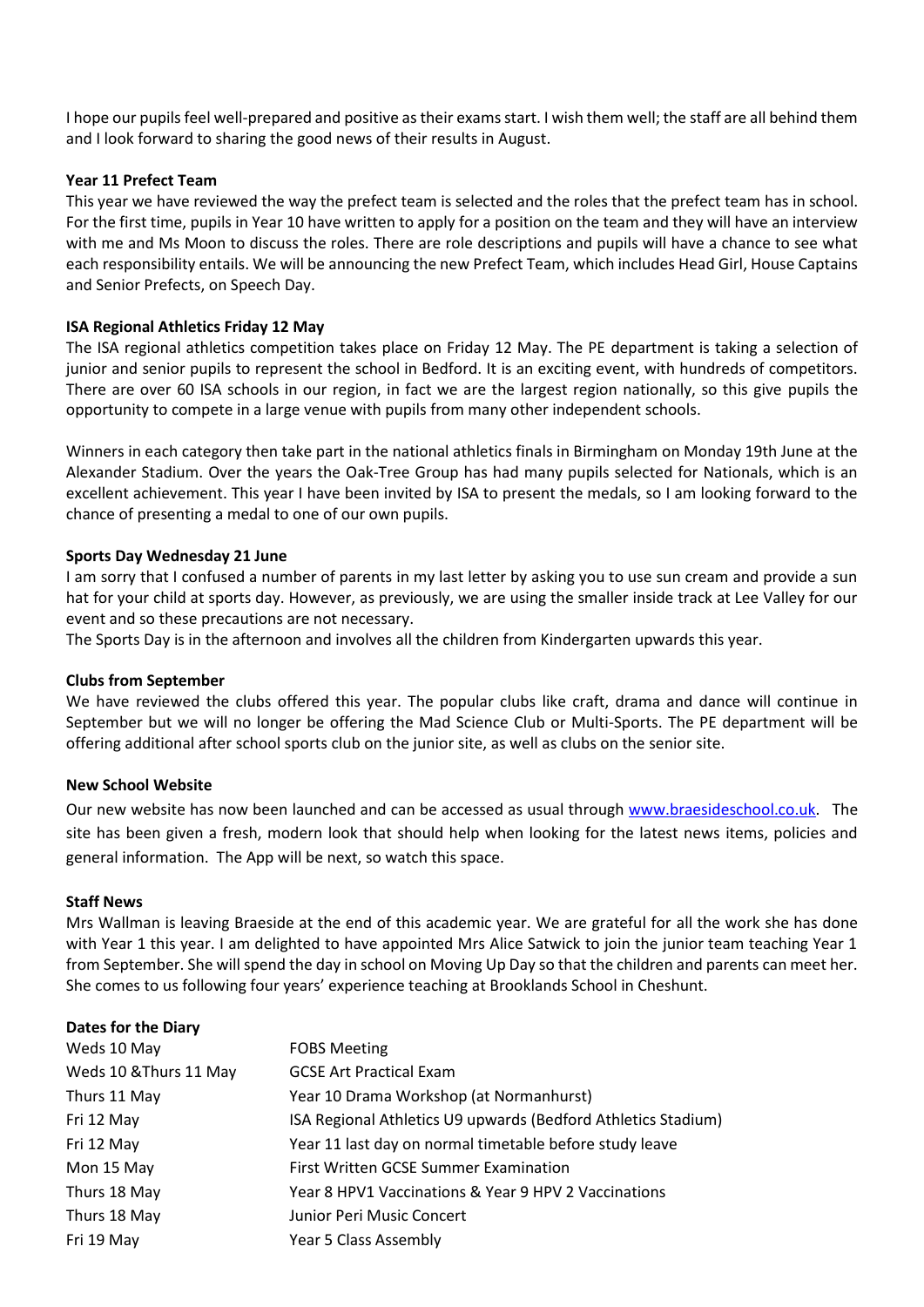I hope our pupils feel well-prepared and positive as their exams start. I wish them well; the staff are all behind them and I look forward to sharing the good news of their results in August.

# **Year 11 Prefect Team**

This year we have reviewed the way the prefect team is selected and the roles that the prefect team has in school. For the first time, pupils in Year 10 have written to apply for a position on the team and they will have an interview with me and Ms Moon to discuss the roles. There are role descriptions and pupils will have a chance to see what each responsibility entails. We will be announcing the new Prefect Team, which includes Head Girl, House Captains and Senior Prefects, on Speech Day.

## **ISA Regional Athletics Friday 12 May**

The ISA regional athletics competition takes place on Friday 12 May. The PE department is taking a selection of junior and senior pupils to represent the school in Bedford. It is an exciting event, with hundreds of competitors. There are over 60 ISA schools in our region, in fact we are the largest region nationally, so this give pupils the opportunity to compete in a large venue with pupils from many other independent schools.

Winners in each category then take part in the national athletics finals in Birmingham on Monday 19th June at the Alexander Stadium. Over the years the Oak-Tree Group has had many pupils selected for Nationals, which is an excellent achievement. This year I have been invited by ISA to present the medals, so I am looking forward to the chance of presenting a medal to one of our own pupils.

## **Sports Day Wednesday 21 June**

I am sorry that I confused a number of parents in my last letter by asking you to use sun cream and provide a sun hat for your child at sports day. However, as previously, we are using the smaller inside track at Lee Valley for our event and so these precautions are not necessary.

The Sports Day is in the afternoon and involves all the children from Kindergarten upwards this year.

### **Clubs from September**

We have reviewed the clubs offered this year. The popular clubs like craft, drama and dance will continue in September but we will no longer be offering the Mad Science Club or Multi-Sports. The PE department will be offering additional after school sports club on the junior site, as well as clubs on the senior site.

### **New School Website**

Our new website has now been launched and can be accessed as usual through [www.braesideschool.co.uk.](http://www.braesideschool.co.uk/) The site has been given a fresh, modern look that should help when looking for the latest news items, policies and general information. The App will be next, so watch this space.

### **Staff News**

Mrs Wallman is leaving Braeside at the end of this academic year. We are grateful for all the work she has done with Year 1 this year. I am delighted to have appointed Mrs Alice Satwick to join the junior team teaching Year 1 from September. She will spend the day in school on Moving Up Day so that the children and parents can meet her. She comes to us following four years' experience teaching at Brooklands School in Cheshunt.

| <b>Dates for the Diary</b> |                                                               |
|----------------------------|---------------------------------------------------------------|
| Weds 10 May                | <b>FOBS Meeting</b>                                           |
| Weds 10 & Thurs 11 May     | <b>GCSE Art Practical Exam</b>                                |
| Thurs 11 May               | Year 10 Drama Workshop (at Normanhurst)                       |
| Fri 12 May                 | ISA Regional Athletics U9 upwards (Bedford Athletics Stadium) |
| Fri 12 May                 | Year 11 last day on normal timetable before study leave       |
| Mon 15 May                 | <b>First Written GCSE Summer Examination</b>                  |
| Thurs 18 May               | Year 8 HPV1 Vaccinations & Year 9 HPV 2 Vaccinations          |
| Thurs 18 May               | Junior Peri Music Concert                                     |
| Fri 19 May                 | Year 5 Class Assembly                                         |